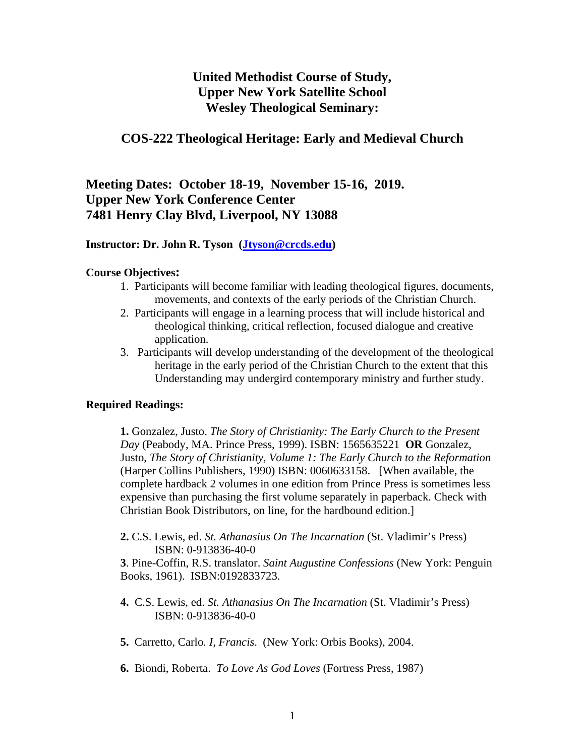## **United Methodist Course of Study, Upper New York Satellite School Wesley Theological Seminary:**

### **COS-222 Theological Heritage: Early and Medieval Church**

**Meeting Dates: October 18-19, November 15-16, 2019. Upper New York Conference Center 7481 Henry Clay Blvd, Liverpool, NY 13088** 

#### **Instructor: Dr. John R. Tyson (Jtyson@crcds.edu)**

#### **Course Objectives:**

- 1. Participants will become familiar with leading theological figures, documents, movements, and contexts of the early periods of the Christian Church.
- 2. Participants will engage in a learning process that will include historical and theological thinking, critical reflection, focused dialogue and creative application.
- 3. Participants will develop understanding of the development of the theological heritage in the early period of the Christian Church to the extent that this Understanding may undergird contemporary ministry and further study.

#### **Required Readings:**

 **1.** Gonzalez, Justo. *The Story of Christianity: The Early Church to the Present Day* (Peabody, MA. Prince Press, 1999). ISBN: 1565635221 **OR** Gonzalez, Justo, *The Story of Christianity, Volume 1: The Early Church to the Reformation* (Harper Collins Publishers, 1990) ISBN: 0060633158. [When available, the complete hardback 2 volumes in one edition from Prince Press is sometimes less expensive than purchasing the first volume separately in paperback. Check with Christian Book Distributors, on line, for the hardbound edition.]

**2.** C.S. Lewis, ed. *St. Athanasius On The Incarnation* (St. Vladimir's Press) ISBN: 0-913836-40-0

**3**. Pine-Coffin, R.S. translator. *Saint Augustine Confessions* (New York: Penguin Books, 1961). ISBN:0192833723.

- **4.** C.S. Lewis, ed. *St. Athanasius On The Incarnation* (St. Vladimir's Press) ISBN: 0-913836-40-0
- **5.** Carretto, Carlo*. I, Francis*. (New York: Orbis Books), 2004.
- **6.** Biondi, Roberta. *To Love As God Loves* (Fortress Press, 1987)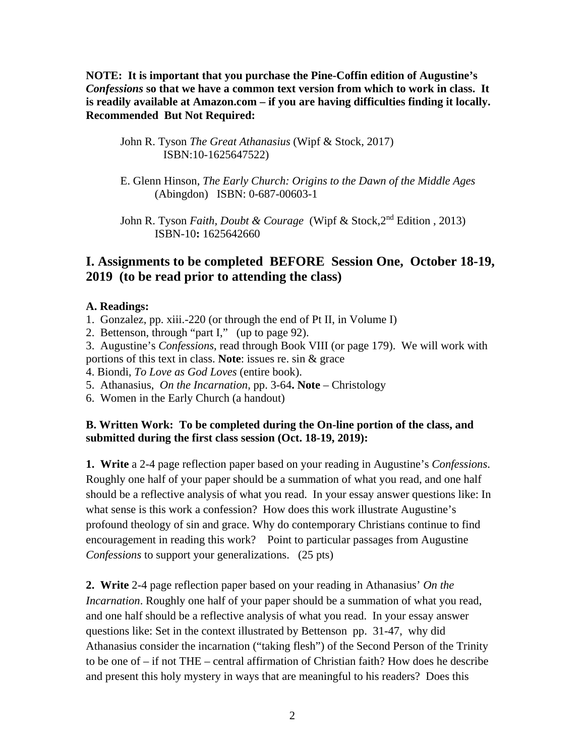**NOTE: It is important that you purchase the Pine-Coffin edition of Augustine's**  *Confessions* **so that we have a common text version from which to work in class. It is readily available at Amazon.com – if you are having difficulties finding it locally. Recommended But Not Required:** 

John R. Tyson *The Great Athanasius* (Wipf & Stock, 2017) ISBN:10-1625647522)

E. Glenn Hinson, *The Early Church: Origins to the Dawn of the Middle Ages* (Abingdon) ISBN: 0-687-00603-1

John R. Tyson *Faith, Doubt & Courage* (Wipf & Stock, 2<sup>nd</sup> Edition, 2013) ISBN-10**:** 1625642660

## **I. Assignments to be completed BEFORE Session One, October 18-19, 2019 (to be read prior to attending the class)**

### **A. Readings:**

- 1. Gonzalez, pp. xiii.-220 (or through the end of Pt II, in Volume I)
- 2. Bettenson, through "part I," (up to page 92).

3. Augustine's *Confessions*, read through Book VIII (or page 179). We will work with

portions of this text in class. **Note**: issues re. sin & grace

4. Biondi, *To Love as God Loves* (entire book).

5. Athanasius, *On the Incarnation,* pp. 3-64**. Note** – Christology

6. Women in the Early Church (a handout)

### **B. Written Work: To be completed during the On-line portion of the class, and submitted during the first class session (Oct. 18-19, 2019):**

**1. Write** a 2-4 page reflection paper based on your reading in Augustine's *Confessions*. Roughly one half of your paper should be a summation of what you read, and one half should be a reflective analysis of what you read. In your essay answer questions like: In what sense is this work a confession? How does this work illustrate Augustine's profound theology of sin and grace. Why do contemporary Christians continue to find encouragement in reading this work? Point to particular passages from Augustine *Confessions* to support your generalizations. (25 pts)

**2. Write** 2-4 page reflection paper based on your reading in Athanasius' *On the Incarnation*. Roughly one half of your paper should be a summation of what you read, and one half should be a reflective analysis of what you read. In your essay answer questions like: Set in the context illustrated by Bettenson pp. 31-47, why did Athanasius consider the incarnation ("taking flesh") of the Second Person of the Trinity to be one of – if not THE – central affirmation of Christian faith? How does he describe and present this holy mystery in ways that are meaningful to his readers? Does this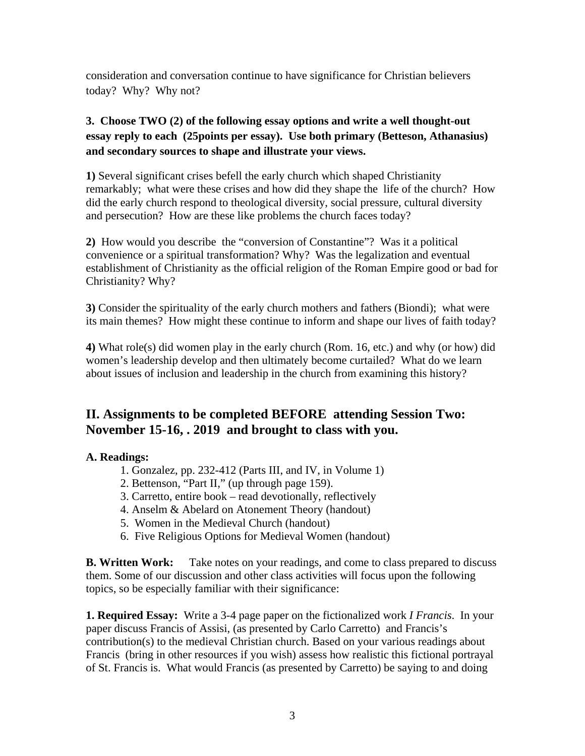consideration and conversation continue to have significance for Christian believers today? Why? Why not?

## **3. Choose TWO (2) of the following essay options and write a well thought-out essay reply to each (25points per essay). Use both primary (Betteson, Athanasius) and secondary sources to shape and illustrate your views.**

**1)** Several significant crises befell the early church which shaped Christianity remarkably; what were these crises and how did they shape the life of the church? How did the early church respond to theological diversity, social pressure, cultural diversity and persecution? How are these like problems the church faces today?

**2)** How would you describe the "conversion of Constantine"? Was it a political convenience or a spiritual transformation? Why? Was the legalization and eventual establishment of Christianity as the official religion of the Roman Empire good or bad for Christianity? Why?

**3)** Consider the spirituality of the early church mothers and fathers (Biondi); what were its main themes? How might these continue to inform and shape our lives of faith today?

**4)** What role(s) did women play in the early church (Rom. 16, etc.) and why (or how) did women's leadership develop and then ultimately become curtailed? What do we learn about issues of inclusion and leadership in the church from examining this history?

# **II. Assignments to be completed BEFORE attending Session Two: November 15-16, . 2019 and brought to class with you.**

## **A. Readings:**

- 1. Gonzalez, pp. 232-412 (Parts III, and IV, in Volume 1)
- 2. Bettenson, "Part II," (up through page 159).
- 3. Carretto, entire book read devotionally, reflectively
- 4. Anselm & Abelard on Atonement Theory (handout)
- 5. Women in the Medieval Church (handout)
- 6. Five Religious Options for Medieval Women (handout)

**B. Written Work:** Take notes on your readings, and come to class prepared to discuss them. Some of our discussion and other class activities will focus upon the following topics, so be especially familiar with their significance:

**1. Required Essay:** Write a 3-4 page paper on the fictionalized work *I Francis*. In your paper discuss Francis of Assisi, (as presented by Carlo Carretto) and Francis's contribution(s) to the medieval Christian church. Based on your various readings about Francis (bring in other resources if you wish) assess how realistic this fictional portrayal of St. Francis is. What would Francis (as presented by Carretto) be saying to and doing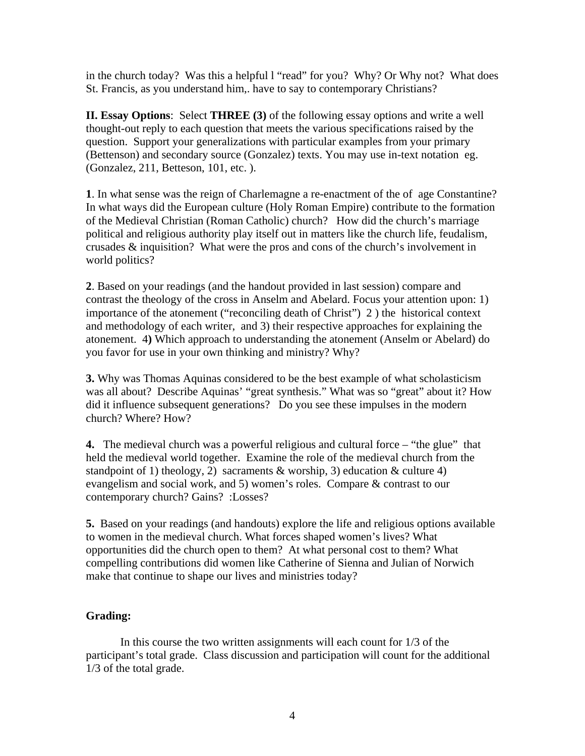in the church today? Was this a helpful l "read" for you? Why? Or Why not? What does St. Francis, as you understand him,. have to say to contemporary Christians?

**II. Essay Options**: Select **THREE (3)** of the following essay options and write a well thought-out reply to each question that meets the various specifications raised by the question. Support your generalizations with particular examples from your primary (Bettenson) and secondary source (Gonzalez) texts. You may use in-text notation eg. (Gonzalez, 211, Betteson, 101, etc. ).

**1**. In what sense was the reign of Charlemagne a re-enactment of the of age Constantine? In what ways did the European culture (Holy Roman Empire) contribute to the formation of the Medieval Christian (Roman Catholic) church? How did the church's marriage political and religious authority play itself out in matters like the church life, feudalism, crusades & inquisition? What were the pros and cons of the church's involvement in world politics?

**2**. Based on your readings (and the handout provided in last session) compare and contrast the theology of the cross in Anselm and Abelard. Focus your attention upon: 1) importance of the atonement ("reconciling death of Christ") 2 ) the historical context and methodology of each writer, and 3) their respective approaches for explaining the atonement. 4**)** Which approach to understanding the atonement (Anselm or Abelard) do you favor for use in your own thinking and ministry? Why?

**3.** Why was Thomas Aquinas considered to be the best example of what scholasticism was all about? Describe Aquinas' "great synthesis." What was so "great" about it? How did it influence subsequent generations? Do you see these impulses in the modern church? Where? How?

**4.** The medieval church was a powerful religious and cultural force – "the glue" that held the medieval world together. Examine the role of the medieval church from the standpoint of 1) theology, 2) sacraments  $\&$  worship, 3) education  $\&$  culture 4) evangelism and social work, and 5) women's roles. Compare & contrast to our contemporary church? Gains? :Losses?

**5.** Based on your readings (and handouts) explore the life and religious options available to women in the medieval church. What forces shaped women's lives? What opportunities did the church open to them? At what personal cost to them? What compelling contributions did women like Catherine of Sienna and Julian of Norwich make that continue to shape our lives and ministries today?

### **Grading:**

In this course the two written assignments will each count for 1/3 of the participant's total grade. Class discussion and participation will count for the additional 1/3 of the total grade.